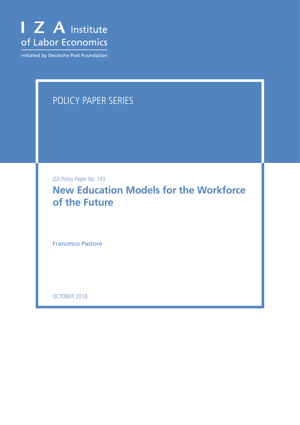

Initiated by Deutsche Post Foundation

# POLICY PAPER SERIES

IZA Policy Paper No. 143

**New Education Models for the Workforce of the Future**

Francesco Pastore

OCTOBER 2018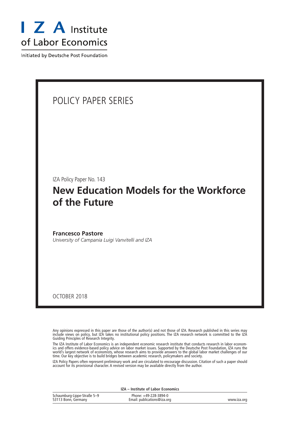

Initiated by Deutsche Post Foundation

# POLICY PAPER SERIES IZA Policy Paper No. 143 **New Education Models for the Workforce of the Future Francesco Pastore** *University of Campania Luigi Vanvitelli and IZA*

OCTOBER 2018

Any opinions expressed in this paper are those of the author(s) and not those of IZA. Research published in this series may include views on policy, but IZA takes no institutional policy positions. The IZA research network is committed to the IZA Guiding Principles of Research Integrity.

The IZA Institute of Labor Economics is an independent economic research institute that conducts research in labor economics and offers evidence-based policy advice on labor market issues. Supported by the Deutsche Post Foundation, IZA runs the world's largest network of economists, whose research aims to provide answers to the global labor market challenges of our time. Our key objective is to build bridges between academic research, policymakers and society.

IZA Policy Papers often represent preliminary work and are circulated to encourage discussion. Citation of such a paper should account for its provisional character. A revised version may be available directly from the author.

**IZA – Institute of Labor Economics**

| Schaumburg-Lippe-Straße 5-9 | Phone: +49-228-3894-0       |             |
|-----------------------------|-----------------------------|-------------|
| 53113 Bonn, Germany         | Email: publications@iza.org | www.iza.org |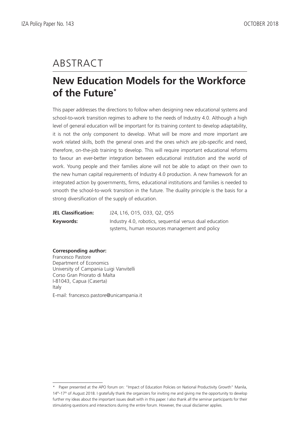# ABSTRACT

# **New Education Models for the Workforce of the Future\***

This paper addresses the directions to follow when designing new educational systems and school-to-work transition regimes to adhere to the needs of Industry 4.0. Although a high level of general education will be important for its training content to develop adaptability, it is not the only component to develop. What will be more and more important are work related skills, both the general ones and the ones which are job-specific and need, therefore, on-the-job training to develop. This will require important educational reforms to favour an ever-better integration between educational institution and the world of work. Young people and their families alone will not be able to adapt on their own to the new human capital requirements of Industry 4.0 production. A new framework for an integrated action by governments, firms, educational institutions and families is needed to smooth the school-to-work transition in the future. The duality principle is the basis for a strong diversification of the supply of education.

| <b>JEL Classification:</b> | J24, L16, O15, O33, Q2, Q55                              |  |
|----------------------------|----------------------------------------------------------|--|
| Keywords:                  | Industry 4.0, robotics, sequential versus dual education |  |
|                            | systems, human resources management and policy           |  |

#### **Corresponding author:**

Francesco Pastore Department of Economics University of Campania Luigi Vanvitelli Corso Gran Priorato di Malta I-81043, Capua (Caserta) Italy E-mail: francesco.pastore@unicampania.it

<sup>\*</sup> Paper presented at the APO forum on: "Impact of Education Policies on National Productivity Growth" Manila, 14th-17th of August 2018. I gratefully thank the organizers for inviting me and giving me the opportunity to develop further my ideas about the important issues dealt with in this paper. I also thank all the seminar participants for their stimulating questions and interactions during the entire forum. However, the usual disclaimer applies.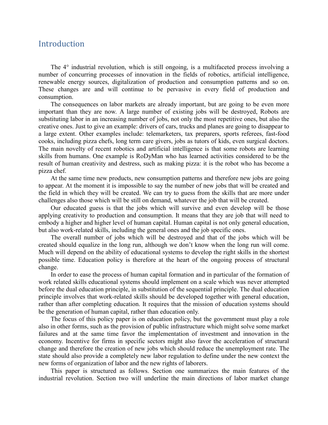### Introduction

The 4° industrial revolution, which is still ongoing, is a multifaceted process involving a number of concurring processes of innovation in the fields of robotics, artificial intelligence, renewable energy sources, digitalization of production and consumption patterns and so on. These changes are and will continue to be pervasive in every field of production and consumption.

The consequences on labor markets are already important, but are going to be even more important than they are now. A large number of existing jobs will be destroyed, Robots are substituting labor in an increasing number of jobs, not only the most repetitive ones, but also the creative ones. Just to give an example: drivers of cars, trucks and planes are going to disappear to a large extent. Other examples include: telemarketers, tax preparers, sports referees, fast-food cooks, including pizza chefs, long term care givers, jobs as tutors of kids, even surgical doctors. The main novelty of recent robotics and artificial intelligence is that some robots are learning skills from humans. One example is RoDyMan who has learned activities considered to be the result of human creativity and destress, such as making pizza: it is the robot who has become a pizza chef.

At the same time new products, new consumption patterns and therefore new jobs are going to appear. At the moment it is impossible to say the number of new jobs that will be created and the field in which they will be created. We can try to guess from the skills that are more under challenges also those which will be still on demand, whatever the job that will be created.

Our educated guess is that the jobs which will survive and even develop will be those applying creativity to production and consumption. It means that they are job that will need to embody a higher and higher level of human capital. Human capital is not only general education, but also work-related skills, including the general ones and the job specific ones.

The overall number of jobs which will be destroyed and that of the jobs which will be created should equalize in the long run, although we don't know when the long run will come. Much will depend on the ability of educational systems to develop the right skills in the shortest possible time. Education policy is therefore at the heart of the ongoing process of structural change.

In order to ease the process of human capital formation and in particular of the formation of work related skills educational systems should implement on a scale which was never attempted before the dual education principle, in substitution of the sequential principle. The dual education principle involves that work-related skills should be developed together with general education, rather than after completing education. It requires that the mission of education systems should be the generation of human capital, rather than education only.

The focus of this policy paper is on education policy, but the government must play a role also in other forms, such as the provision of public infrastructure which might solve some market failures and at the same time favor the implementation of investment and innovation in the economy. Incentive for firms in specific sectors might also favor the acceleration of structural change and therefore the creation of new jobs which should reduce the unemployment rate. The state should also provide a completely new labor regulation to define under the new context the new forms of organization of labor and the new rights of laborers.

This paper is structured as follows. Section one summarizes the main features of the industrial revolution. Section two will underline the main directions of labor market change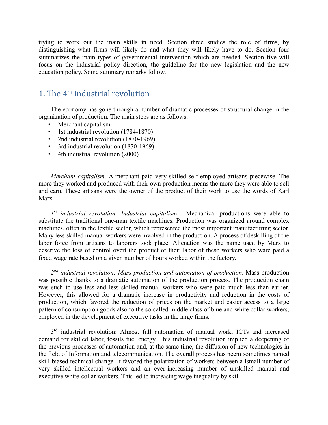trying to work out the main skills in need. Section three studies the role of firms, by distinguishing what firms will likely do and what they will likely have to do. Section four summarizes the main types of governmental intervention which are needed. Section five will focus on the industrial policy direction, the guideline for the new legislation and the new education policy. Some summary remarks follow.

## 1. The 4th industrial revolution

The economy has gone through a number of dramatic processes of structural change in the organization of production. The main steps are as follows:

• Merchant capitalism

–

- 1st industrial revolution (1784-1870)
- 2nd industrial revolution (1870-1969)
- 3rd industrial revolution (1870-1969)
- 4th industrial revolution (2000)

*Merchant capitalism*. A merchant paid very skilled self-employed artisans piecewise. The more they worked and produced with their own production means the more they were able to sell and earn. These artisans were the owner of the product of their work to use the words of Karl Marx.

*1st industrial revolution: Industrial capitalism*. Mechanical productions were able to substitute the traditional one-man textile machines. Production was organized around complex machines, often in the textile sector, which represented the most important manufacturing sector. Many less skilled manual workers were involved in the production. A process of deskilling of the labor force from artisans to laborers took place. Alienation was the name used by Marx to descrive the loss of control overt the product of their labor of these workers who ware paid a fixed wage rate based on a given number of hours worked within the factory.

*2nd industrial revolution: Mass production and automation of production*. Mass production was possible thanks to a dramatic automation of the production process. The production chain was such to use less and less skilled manual workers who were paid much less than earlier. However, this allowed for a dramatic increase in productivity and reduction in the costs of production, which favored the reduction of prices on the market and easier access to a large pattern of consumption goods also to the so-called middle class of blue and white collar workers, employed in the development of executive tasks in the large firms.

3<sup>rd</sup> industrial revolution: Almost full automation of manual work, ICTs and increased demand for skilled labor, fossils fuel energy. This industrial revolution implied a deepening of the previous processes of automation and, at the same time, the diffusion of new technologies in the field of Information and telecommunication. The overall process has neem sometimes named skill-biased technical change. It favored the polarization of workers between a lsmall number of very skilled intellectual workers and an ever-increasing number of unskilled manual and executive white-collar workers. This led to increasing wage inequality by skill.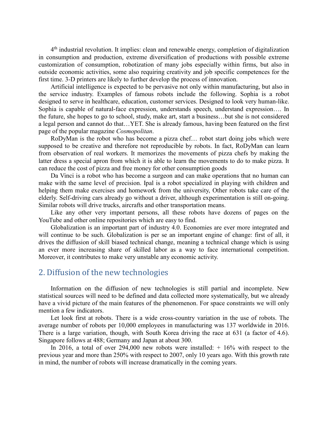4th industrial revolution. It implies: clean and renewable energy, completion of digitalization in consumption and production, extreme diversification of productions with possible extreme customization of consumption, robotization of many jobs especially within firms, but also in outside economic activities, some also requiring creativity and job specific competences for the first time. 3-D printers are likely to further develop the process of innovation.

Artificial intelligence is expected to be pervasive not only within manufacturing, but also in the service industry. Examples of famous robots include the following. Sophia is a robot designed to serve in healthcare, education, customer services. Designed to look very human-like. Sophia is capable of natural-face expression, understands speech, understand expression…. In the future, she hopes to go to school, study, make art, start a business…but she is not considered a legal person and cannot do that…YET. She is already famous, having been featured on the first page of the popular magazine *Cosmopolitan*.

RoDyMan is the robot who has become a pizza chef… robot start doing jobs which were supposed to be creative and therefore not reproducible by robots. In fact, RoDyMan can learn from observation of real workers. It memorizes the movements of pizza chefs by making the latter dress a special apron from which it is able to learn the movements to do to make pizza. It can reduce the cost of pizza and free money for other consumption goods

Da Vinci is a robot who has become a surgeon and can make operations that no human can make with the same level of precision. Ipal is a robot specialized in playing with children and helping them make exercises and homework from the university, Other robots take care of the elderly. Self-driving cars already go without a driver, although experimentation is still on-going. Similar robots will drive trucks, aircrafts and other transportation means.

Like any other very important persons, all these robots have dozens of pages on the YouTube and other online repositories which are easy to find.

Globalization is an important part of industry 4.0. Economies are ever more integrated and will continue to be such. Globalization is per se an important engine of change: first of all, it drives the diffusion of skill biased technical change, meaning a technical change which is using an ever more increasing share of skilled labor as a way to face international competition. Moreover, it contributes to make very unstable any economic activity.

#### 2. Diffusion of the new technologies

Information on the diffusion of new technologies is still partial and incomplete. New statistical sources will need to be defined and data collected more systematically, but we already have a vivid picture of the main features of the phenomenon. For space constraints we will only mention a few indicators.

Let look first at robots. There is a wide cross-country variation in the use of robots. The average number of robots per 10,000 employees in manufacturing was 137 worldwide in 2016. There is a large variation, though, with South Korea driving the race at 631 (a factor of 4.6). Singapore follows at 488; Germany and Japan at about 300.

In 2016, a total of over 294,000 new robots were installed:  $+16\%$  with respect to the previous year and more than 250% with respect to 2007, only 10 years ago. With this growth rate in mind, the number of robots will increase dramatically in the coming years.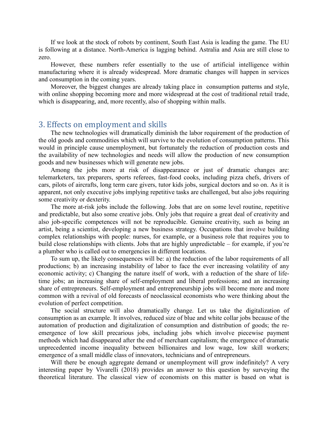If we look at the stock of robots by continent, South East Asia is leading the game. The EU is following at a distance. North-America is lagging behind. Astralia and Asia are still close to zero.

However, these numbers refer essentially to the use of artificial intelligence within manufacturing where it is already widespread. More dramatic changes will happen in services and consumption in the coming years.

Moreover, the biggest changes are already taking place in consumption patterns and style, with online shopping becoming more and more widespread at the cost of traditional retail trade, which is disappearing, and, more recently, also of shopping within malls.

#### 3. Effects on employment and skills

The new technologies will dramatically diminish the labor requirement of the production of the old goods and commodities which will survive to the evolution of consumption patterns. This would in principle cause unemployment, but fortunately the reduction of production costs and the availability of new technologies and needs will allow the production of new consumption goods and new businesses which will generate new jobs.

Among the jobs more at risk of disappearance or just of dramatic changes are: telemarketers, tax preparers, sports referees, fast-food cooks, including pizza chefs, drivers of cars, pilots of aircrafts, long term care givers, tutor kids jobs, surgical doctors and so on. As it is apparent, not only executive jobs implying repetitive tasks are challenged, but also jobs requiring some creativity or dexterity.

The more at-risk jobs include the following. Jobs that are on some level routine, repetitive and predictable, but also some creative jobs. Only jobs that require a great deal of creativity and also job-specific competences will not be reproducible. Genuine creativity, such as being an artist, being a scientist, developing a new business strategy. Occupations that involve building complex relationships with people: nurses, for example, or a business role that requires you to build close relationships with clients. Jobs that are highly unpredictable – for example, if you're a plumber who is called out to emergencies in different locations.

To sum up, the likely consequences will be: a) the reduction of the labor requirements of all productions; b) an increasing instability of labor to face the ever increasing volatility of any economic activity; c) Changing the nature itself of work, with a reduction of the share of lifetime jobs; an increasing share of self-employment and liberal professions; and an increasing share of entrepreneurs. Self-employment and entrepreneurship jobs will become more and more common with a revival of old forecasts of neoclassical economists who were thinking about the evolution of perfect competition.

The social structure will also dramatically change. Let us take the digitalization of consumption as an example. It involves, reduced size of blue and white collar jobs because of the automation of production and digitalization of consumption and distribution of goods; the reemergence of low skill precarious jobs, including jobs which involve piecewise payment methods which had disappeared after the end of merchant capitalism; the emergence of dramatic unprecedented income inequality between billionaires and low wage, low skill workers; emergence of a small middle class of innovators, technicians and of entrepreneurs.

Will there be enough aggregate demand or unemployment will grow indefinitely? A very interesting paper by Vivarelli (2018) provides an answer to this question by surveying the theoretical literature. The classical view of economists on this matter is based on what is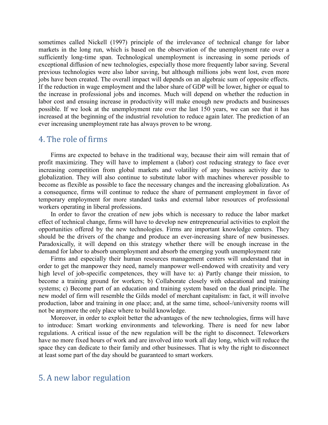sometimes called Nickell (1997) principle of the irrelevance of technical change for labor markets in the long run, which is based on the observation of the unemployment rate over a sufficiently long-time span. Technological unemployment is increasing in some periods of exceptional diffusion of new technologies, especially those more frequently labor saving. Several previous technologies were also labor saving, but although millions jobs went lost, even more jobs have been created. The overall impact will depends on an algebraic sum of opposite effects. If the reduction in wage employment and the labor share of GDP will be lower, higher or equal to the increase in professional jobs and incomes. Much will depend on whether the reduction in labor cost and ensuing increase in productivity will make enough new products and businesses possible. If we look at the unemployment rate over the last 150 years, we can see that it has increased at the beginning of the industrial revolution to reduce again later. The prediction of an ever increasing unemployment rate has always proven to be wrong.

#### 4. The role of firms

Firms are expected to behave in the traditional way, because their aim will remain that of profit maximizing. They will have to implement a (labor) cost reducing strategy to face ever increasing competition from global markets and volatility of any business activity due to globalization. They will also continue to substitute labor with machines wherever possible to become as flexible as possible to face the necessary changes and the increasing globalization. As a consequence, firms will continue to reduce the share of permanent employment in favor of temporary employment for more standard tasks and external labor resources of professional workers operating in liberal professions.

In order to favor the creation of new jobs which is necessary to reduce the labor market effect of technical change, firms will have to develop new entrepreneurial activities to exploit the opportunities offered by the new technologies. Firms are important knowledge centers. They should be the drivers of the change and produce an ever-increasing share of new businesses. Paradoxically, it will depend on this strategy whether there will be enough increase in the demand for labor to absorb unemployment and absorb the emerging youth unemployment rate

Firms and especially their human resources management centers will understand that in order to get the manpower they need, namely manpower well-endowed with creativity and very high level of job-specific competences, they will have to: a) Partly change their mission, to become a training ground for workers; b) Collaborate closely with educational and training systems; c) Become part of an education and training system based on the dual principle. The new model of firm will resemble the Gilds model of merchant capitalism: in fact, it will involve production, labor and training in one place; and, at the same time, school-/university rooms will not be anymore the only place where to build knowledge.

Moreover, in order to exploit better the advantages of the new technologies, firms will have to introduce: Smart working environments and teleworking. There is need for new labor regulations. A critical issue of the new regulation will be the right to disconnect. Teleworkers have no more fixed hours of work and are involved into work all day long, which will reduce the space they can dedicate to their family and other businesses. That is why the right to disconnect at least some part of the day should be guaranteed to smart workers.

## 5. A new labor regulation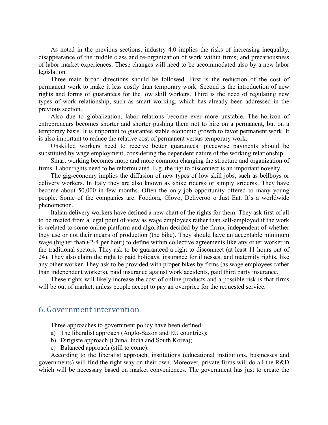As noted in the previous sections, industry 4.0 implies the risks of increasing inequality, disappearance of the middle class and re-organization of work within firms; and precariousness of labor market experiences. These changes will need to be accommodated also by a new labor legislation.

Three main broad directions should be followed. First is the reduction of the cost of permanent work to make it less costly than temporary work. Second is the introduction of new rights and forms of guarantees for the low skill workers. Third is the need of regulating new types of work relationship, such as smart working, which has already been addressed in the previous section.

Also due to globalization, labor relations become ever more unstable. The horizon of entrepreneurs becomes shorter and shorter pushing them not to hire on a permanent, but on a temporary basis. It is important to guarantee stable economic growth to favor permanent work. It is also important to reduce the relative cost of permanent versus temporary work.

Unskilled workers need to receive better guarantees: piecewise payments should be substituted by wage employment, considering the dependent nature of the working relationship

Smart working becomes more and more common changing the structure and organization of firms. Labor rights need to be reformulated. E.g. the rigt to disconnect is an important novelty.

The gig-economy implies the diffusion of new types of low skill jobs, such as bellboys or delivery workers. In Italy they are also known as «bike riders» or simply «riders». They have become about 50,000 in few months. Often the only job opportunity offered to many young people. Some of the companies are: Foodora, Glovo, Deliveroo o Just Eat. It's a worldwide phenomenon.

Italian delivery workers have defined a new chart of the rights for them. They ask first of all to be treated from a legal point of view as wage employees rather than self-employed if the work is «related to some online platform and algorithm decided by the firm», independent of whether they use or not their means of production (the bike). They should have an acceptable minimum wage (higher than  $\epsilon$ 2-4 per hour) to define within collective agreements like any other worker in the traditional sectors. They ask to be guaranteed a right to disconnect (at least 11 hours out of 24). They also claim the right to paid holidays, insurance for illnesses, and maternity rights, like any other worker. They ask to be provided with proper bikes by firms (as wage employees rather than independent workers), paid insurance against work accidents, paid third party insurance.

These rights will likely increase the cost of online products and a possible risk is that firms will be out of market, unless people accept to pay an overprice for the requested service.

#### 6. Government intervention

Three approaches to government policy have been defined:

- a) The liberalist approach (Anglo-Saxon and EU countries);
- b) Dirigiste approach (China, India and South Korea);
- c) Balanced approach (still to come).

According to the liberalist approach, institutions (educational institutions, businesses and governments) will find the right way on their own. Moreover, private firms will do all the R&D which will be necessary based on market conveniences. The government has just to create the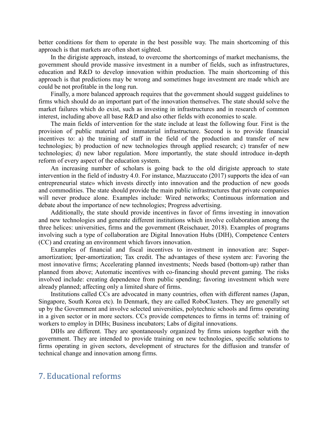better conditions for them to operate in the best possible way. The main shortcoming of this approach is that markets are often short sighted.

In the dirigiste approach, instead, to overcome the shortcomings of market mechanisms, the government should provide massive investment in a number of fields, such as infrastructures, education and R&D to develop innovation within production. The main shortcoming of this approach is that predictions may be wrong and sometimes huge investment are made which are could be not profitable in the long run.

Finally, a more balanced approach requires that the government should suggest guidelines to firms which should do an important part of the innovation themselves. The state should solve the market failures which do exist, such as investing in infrastructures and in research of common interest, including above all base R&D and also other fields with economies to scale.

The main fields of intervention for the state include at least the following four. First is the provision of public material and immaterial infrastructure. Second is to provide financial incentives to: a) the training of staff in the field of the production and transfer of new technologies; b) production of new technologies through applied research; c) transfer of new technologies; d) new labor regulation. More importantly, the state should introduce in-depth reform of every aspect of the education system.

An increasing number of scholars is going back to the old dirigiste approach to state intervention in the field of industry 4.0. For instance, Mazzuccato (2017) supports the idea of «an entrepreneurial state» which invests directly into innovation and the production of new goods and commodities. The state should provide the main public infrastructures that private companies will never produce alone. Examples include: Wired networks; Continuous information and debate about the importance of new technologies; Progress advertising.

Additionally, the state should provide incentives in favor of firms investing in innovation and new technologies and generate different institutions which involve collaboration among the three helices: universities, firms and the government (Reischauer, 2018). Examples of programs involving such a type of collaboration are Digital Innovation Hubs (DIH), Competence Centers (CC) and creating an environment which favors innovation.

Examples of financial and fiscal incentives to investment in innovation are: Superamortization; Iper-amortization; Tax credit. The advantages of these system are: Favoring the most innovative firms; Accelerating planned investments; Needs based (bottom-up) rather than planned from above; Automatic incentives with co-financing should prevent gaming. The risks involved include: creating dependence from public spending; favoring investment which were already planned; affecting only a limited share of firms.

Institutions called CCs are advocated in many countries, often with different names (Japan, Singapore, South Korea etc). In Denmark, they are called RoboClusters. They are generally set up by the Government and involve selected universities, polytechnic schools and firms operating in a given sector or in more sectors. CCs provide competences to firms in terms of: training of workers to employ in DIHs; Business incubators; Labs of digital innovations.

DIHs are different. They are spontaneously organized by firms unions together with the government. They are intended to provide training on new technologies, specific solutions to firms operating in given sectors, development of structures for the diffusion and transfer of technical change and innovation among firms.

## 7. Educational reforms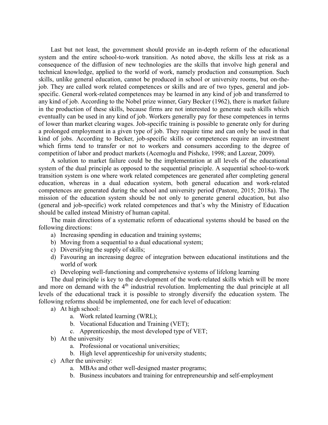Last but not least, the government should provide an in-depth reform of the educational system and the entire school-to-work transition. As noted above, the skills less at risk as a consequence of the diffusion of new technologies are the skills that involve high general and technical knowledge, applied to the world of work, namely production and consumption. Such skills, unlike general education, cannot be produced in school or university rooms, but on-thejob. They are called work related competences or skills and are of two types, general and jobspecific. General work-related competences may be learned in any kind of job and transferred to any kind of job. According to the Nobel prize winner, Gary Becker (1962), there is market failure in the production of these skills, because firms are not interested to generate such skills which eventually can be used in any kind of job. Workers generally pay for these competences in terms of lower than market clearing wages. Job-specific training is possible to generate only for during a prolonged employment in a given type of job. They require time and can only be used in that kind of jobs. According to Becker, job-specific skills or competences require an investment which firms tend to transfer or not to workers and consumers according to the degree of competition of labor and product markets (Acemoglu and Pishcke, 1998; and Lazear, 2009).

A solution to market failure could be the implementation at all levels of the educational system of the dual principle as opposed to the sequential principle. A sequential school-to-work transition system is one where work related competences are generated after completing general education, whereas in a dual education system, both general education and work-related competences are generated during the school and university period (Pastore, 2015; 2018a). The mission of the education system should be not only to generate general education, but also (general and job-specific) work related competences and that's why the Ministry of Education should be called instead Ministry of human capital.

The main directions of a systematic reform of educational systems should be based on the following directions:

- a) Increasing spending in education and training systems;
- b) Moving from a sequential to a dual educational system;
- c) Diversifying the supply of skills;
- d) Favouring an increasing degree of integration between educational institutions and the world of work
- e) Developing well-functioning and comprehensive systems of lifelong learning

The dual principle is key to the development of the work-related skills which will be more and more on demand with the 4<sup>th</sup> industrial revolution. Implementing the dual principle at all levels of the educational track it is possible to strongly diversify the education system. The following reforms should be implemented, one for each level of education:

- a) At high school:
	- a. Work related learning (WRL);
		- b. Vocational Education and Training (VET);
		- c. Apprenticeship, the most developed type of VET;
- b) At the university
	- a. Professional or vocational universities;
	- b. High level apprenticeship for university students;
- c) After the university:
	- a. MBAs and other well-designed master programs;
	- b. Business incubators and training for entrepreneurship and self-employment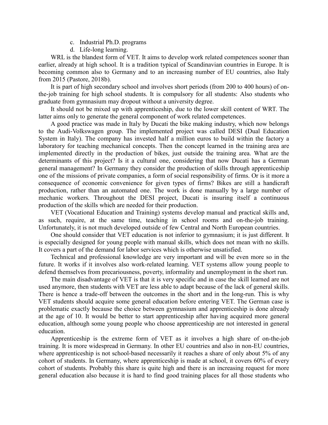- c. Industrial Ph.D. programs
- d. Life-long learning.

WRL is the blandest form of VET. It aims to develop work related competences sooner than earlier, already at high school. It is a tradition typical of Scandinavian countries in Europe. It is becoming common also to Germany and to an increasing number of EU countries, also Italy from 2015 (Pastore, 2018b).

It is part of high secondary school and involves short periods (from 200 to 400 hours) of onthe-job training for high school students. It is compulsory for all students: Also students who graduate from gymnasium may dropout without a university degree.

It should not be mixed up with apprenticeship, due to the lower skill content of WRT. The latter aims only to generate the general component of work related competences.

A good practice was made in Italy by Ducati the bike making industry, which now belongs to the Audi-Volkswagen group. The implemented project was called DESI (Dual Education System in Italy). The company has invested half a million euros to build within the factory a laboratory for teaching mechanical concepts. Then the concept learned in the training area are implemented directly in the production of bikes, just outside the training area. What are the determinants of this project? Is it a cultural one, considering that now Ducati has a German general management? In Germany they consider the production of skills through apprenticeship one of the missions of private companies, a form of social responsibility of firms. Or is it more a consequence of economic convenience for given types of firms? Bikes are still a handicraft production, rather than an automated one. The work is done manually by a large number of mechanic workers. Throughout the DESI project, Ducati is insuring itself a continuous production of the skills which are needed for their production.

VET (Vocational Education and Training) systems develop manual and practical skills and, as such, require, at the same time, teaching in school rooms and on-the-job training. Unfortunately, it is not much developed outside of few Central and North European countries.

One should consider that VET education is not inferior to gymnasium; it is just different. It is especially designed for young people with manual skills, which does not mean with no skills. It covers a part of the demand for labor services which is otherwise unsatisfied.

Technical and professional knowledge are very important and will be even more so in the future. It works if it involves also work-related learning. VET systems allow young people to defend themselves from precariousness, poverty, informality and unemployment in the short run.

The main disadvantage of VET is that it is very specific and in case the skill learned are not used anymore, then students with VET are less able to adapt because of the lack of general skills. There is hence a trade-off between the outcomes in the short and in the long-run. This is why VET students should acquire some general education before entering VET. The German case is problematic exactly because the choice between gymnasium and apprenticeship is done already at the age of 10. It would be better to start apprenticeship after having acquired more general education, although some young people who choose apprenticeship are not interested in general education.

Apprenticeship is the extreme form of VET as it involves a high share of on-the-job training. It is more widespread in Germany. In other EU countries and also in non-EU countries, where apprenticeship is not school-based necessarily it reaches a share of only about 5% of any cohort of students. In Germany, where apprenticeship is made at school, it covers 60% of every cohort of students. Probably this share is quite high and there is an increasing request for more general education also because it is hard to find good training places for all those students who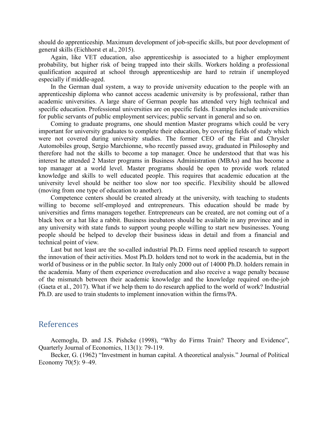should do apprenticeship. Maximum development of job-specific skills, but poor development of general skills (Eichhorst et al., 2015).

Again, like VET education, also apprenticeship is associated to a higher employment probability, but higher risk of being trapped into their skills. Workers holding a professional qualification acquired at school through apprenticeship are hard to retrain if unemployed especially if middle-aged.

In the German dual system, a way to provide university education to the people with an apprenticeship diploma who cannot access academic university is by professional, rather than academic universities. A large share of German people has attended very high technical and specific education. Professional universities are on specific fields. Examples include universities for public servants of public employment services; public servant in general and so on.

Coming to graduate programs, one should mention Master programs which could be very important for university graduates to complete their education, by covering fields of study which were not covered during university studies. The former CEO of the Fiat and Chrysler Automobiles group, Sergio Marchionne, who recently passed away, graduated in Philosophy and therefore had not the skills to become a top manager. Once he understood that that was his interest he attended 2 Master programs in Business Administration (MBAs) and has become a top manager at a world level. Master programs should be open to provide work related knowledge and skills to well educated people. This requires that academic education at the university level should be neither too slow nor too specific. Flexibility should be allowed (moving from one type of education to another).

Competence centers should be created already at the university, with teaching to students willing to become self-employed and entrepreneurs. This education should be made by universities and firms managers together. Entrepreneurs can be created, are not coming out of a black box or a hat like a rabbit. Business incubators should be available in any province and in any university with state funds to support young people willing to start new businesses. Young people should be helped to develop their business ideas in detail and from a financial and technical point of view.

Last but not least are the so-called industrial Ph.D. Firms need applied research to support the innovation of their activities. Most Ph.D. holders tend not to work in the academia, but in the world of business or in the public sector. In Italy only 2000 out of 14000 Ph.D. holders remain in the academia. Many of them experience overeducation and also receive a wage penalty because of the mismatch between their academic knowledge and the knowledge required on-the-job (Gaeta et al., 2017). What if we help them to do research applied to the world of work? Industrial Ph.D. are used to train students to implement innovation within the firms/PA.

#### References

Acemoglu, D. and J.S. Pishcke (1998), "Why do Firms Train? Theory and Evidence", Quarterly Journal of Economics, 113(1): 79-119.

Becker, G. (1962) "Investment in human capital. A theoretical analysis." Journal of Political Economy 70(5): 9–49.